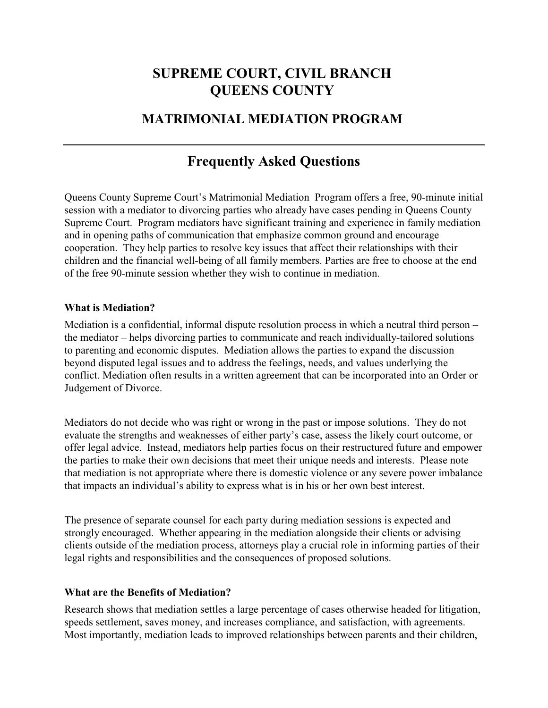## **SUPREME COURT, CIVIL BRANCH QUEENS COUNTY**

### **MATRIMONIAL MEDIATION PROGRAM**

## **Frequently Asked Questions**

l

Queens County Supreme Court's Matrimonial Mediation Program offers a free, 90-minute initial session with a mediator to divorcing parties who already have cases pending in Queens County Supreme Court. Program mediators have significant training and experience in family mediation and in opening paths of communication that emphasize common ground and encourage cooperation. They help parties to resolve key issues that affect their relationships with their children and the financial well-being of all family members. Parties are free to choose at the end of the free 90-minute session whether they wish to continue in mediation.

#### **What is Mediation?**

Mediation is a confidential, informal dispute resolution process in which a neutral third person – the mediator – helps divorcing parties to communicate and reach individually-tailored solutions to parenting and economic disputes. Mediation allows the parties to expand the discussion beyond disputed legal issues and to address the feelings, needs, and values underlying the conflict. Mediation often results in a written agreement that can be incorporated into an Order or Judgement of Divorce.

Mediators do not decide who was right or wrong in the past or impose solutions. They do not evaluate the strengths and weaknesses of either party's case, assess the likely court outcome, or offer legal advice. Instead, mediators help parties focus on their restructured future and empower the parties to make their own decisions that meet their unique needs and interests. Please note that mediation is not appropriate where there is domestic violence or any severe power imbalance that impacts an individual's ability to express what is in his or her own best interest.

The presence of separate counsel for each party during mediation sessions is expected and strongly encouraged. Whether appearing in the mediation alongside their clients or advising clients outside of the mediation process, attorneys play a crucial role in informing parties of their legal rights and responsibilities and the consequences of proposed solutions.

#### **What are the Benefits of Mediation?**

Research shows that mediation settles a large percentage of cases otherwise headed for litigation, speeds settlement, saves money, and increases compliance, and satisfaction, with agreements. Most importantly, mediation leads to improved relationships between parents and their children,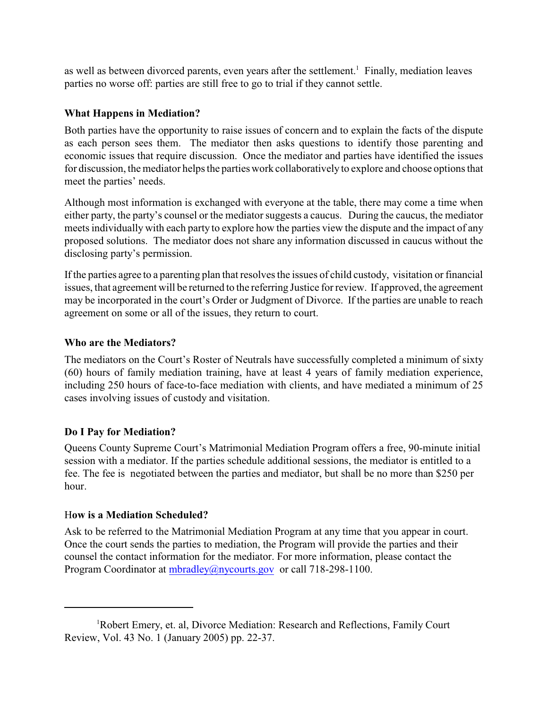as well as between divorced parents, even years after the settlement.<sup>1</sup> Finally, mediation leaves parties no worse off: parties are still free to go to trial if they cannot settle.

### **What Happens in Mediation?**

Both parties have the opportunity to raise issues of concern and to explain the facts of the dispute as each person sees them. The mediator then asks questions to identify those parenting and economic issues that require discussion. Once the mediator and parties have identified the issues for discussion, the mediator helps the parties work collaboratively to explore and choose options that meet the parties' needs.

Although most information is exchanged with everyone at the table, there may come a time when either party, the party's counsel or the mediator suggests a caucus. During the caucus, the mediator meets individually with each party to explore how the parties view the dispute and the impact of any proposed solutions. The mediator does not share any information discussed in caucus without the disclosing party's permission.

If the parties agree to a parenting plan that resolves the issues of child custody, visitation or financial issues, that agreement will be returned to the referring Justice for review. If approved, the agreement may be incorporated in the court's Order or Judgment of Divorce. If the parties are unable to reach agreement on some or all of the issues, they return to court.

#### **Who are the Mediators?**

The mediators on the Court's Roster of Neutrals have successfully completed a minimum of sixty (60) hours of family mediation training, have at least 4 years of family mediation experience, including 250 hours of face-to-face mediation with clients, and have mediated a minimum of 25 cases involving issues of custody and visitation.

### **Do I Pay for Mediation?**

Queens County Supreme Court's Matrimonial Mediation Program offers a free, 90-minute initial session with a mediator. If the parties schedule additional sessions, the mediator is entitled to a fee. The fee is negotiated between the parties and mediator, but shall be no more than \$250 per hour.

#### H**ow is a Mediation Scheduled?**

Ask to be referred to the Matrimonial Mediation Program at any time that you appear in court. Once the court sends the parties to mediation, the Program will provide the parties and their counsel the contact information for the mediator. For more information, please contact the Program Coordinator at [mbradley@nycourts.gov](mailto:lschwart@courts.state.ny.us) or call 718-298-1100.

 ${}^{1}$ Robert Emery, et. al, Divorce Mediation: Research and Reflections, Family Court Review, Vol. 43 No. 1 (January 2005) pp. 22-37.